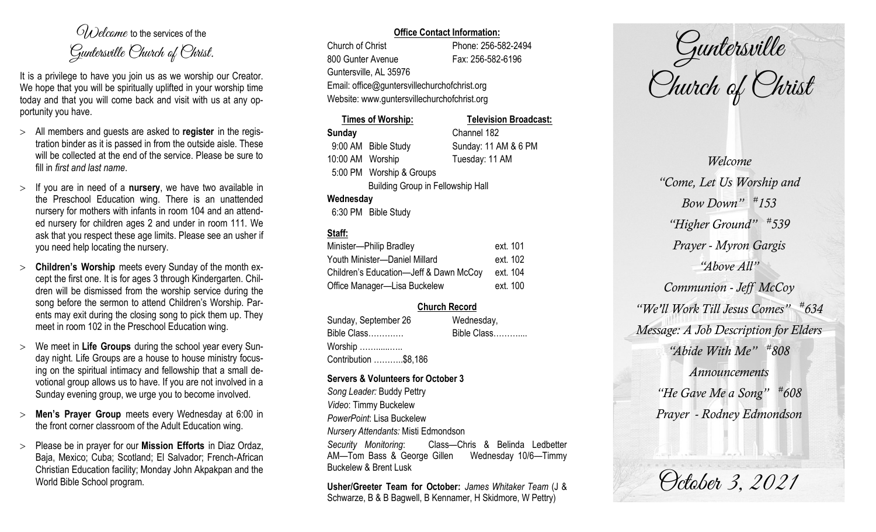$O(\lambda)$  elcame to the services of the Guntersville Church of Christ.

It is a privilege to have you join us as we worship our Creator. We hope that you will be spiritually uplifted in your worship time today and that you will come back and visit with us at any opportunity you have.

- All members and guests are asked to **register** in the registration binder as it is passed in from the outside aisle. These will be collected at the end of the service. Please be sure to fill in *first and last name*.
- $>$  If you are in need of a **nursery**, we have two available in the Preschool Education wing. There is an unattended nursery for mothers with infants in room 104 and an attended nursery for children ages 2 and under in room 111. We ask that you respect these age limits. Please see an usher if you need help locating the nursery.
- **Children's Worship** meets every Sunday of the month except the first one. It is for ages 3 through Kindergarten. Children will be dismissed from the worship service during the song before the sermon to attend Children's Worship. Parents may exit during the closing song to pick them up. They meet in room 102 in the Preschool Education wing.
- We meet in **Life Groups** during the school year every Sunday night. Life Groups are a house to house ministry focusing on the spiritual intimacy and fellowship that a small devotional group allows us to have. If you are not involved in a Sunday evening group, we urge you to become involved.
- **Men's Prayer Group** meets every Wednesday at 6:00 in the front corner classroom of the Adult Education wing.
- Please be in prayer for our **Mission Efforts** in Diaz Ordaz, Baja, Mexico; Cuba; Scotland; El Salvador; French-African Christian Education facility; Monday John Akpakpan and the World Bible School program.

## **Office Contact Information:**

Church of Christ Phone: 256-582-2494 800 Gunter Avenue Fax: 256-582-6196 Guntersville, AL 35976 Email: office@guntersvillechurchofchrist.org Website: www.guntersvillechurchofchrist.org

|                                          | Times of Worship:        | <b>Television Broadcast:</b> |
|------------------------------------------|--------------------------|------------------------------|
| Sunday                                   |                          | Channel 182                  |
|                                          | 9:00 AM Bible Study      | Sunday: 11 AM & 6 PM         |
| 10:00 AM Worship                         |                          | Tuesday: 11 AM               |
|                                          | 5:00 PM Worship & Groups |                              |
| <b>Building Group in Fellowship Hall</b> |                          |                              |
| Wednesday                                |                          |                              |
|                                          | 6:30 PM Bible Study      |                              |

# **Staff:**

| Minister-Philip Bradley                | ext. 101 |
|----------------------------------------|----------|
| Youth Minister-Daniel Millard          | ext. 102 |
| Children's Education-Jeff & Dawn McCoy | ext. 104 |
| Office Manager-Lisa Buckelew           | ext. 100 |

## **Church Record**

Sunday, September 26 Wednesday, Bible Class…………. Bible Class……….... Worship ……......….. Contribution ………..\$8,186

#### **Servers & Volunteers for October 3**

*Song Leader:* Buddy Pettry *Video*: Timmy Buckelew *PowerPoint*: Lisa Buckelew *Nursery Attendants:* Misti Edmondson *Security Monitoring*: Class—Chris & Belinda Ledbetter AM—Tom Bass & George Gillen Wednesday 10/6—Timmy Buckelew & Brent Lusk

**Usher/Greeter Team for October:** *James Whitaker Team* (J & Schwarze, B & B Bagwell, B Kennamer, H Skidmore, W Pettry)

Guntersville Church of Christ

*Welcome "Come, Let Us Worship and Bow Down" # 153 "Higher Ground" # 539 Prayer - Myron Gargis "Above All" Communion - Jeff McCoy "We'll Work Till Jesus Comes" # 634 Message: A Job Description for Elders "Abide With Me" # 808 Announcements "He Gave Me a Song" # 608 Prayer - Rodney Edmondson*

October 3, 2021